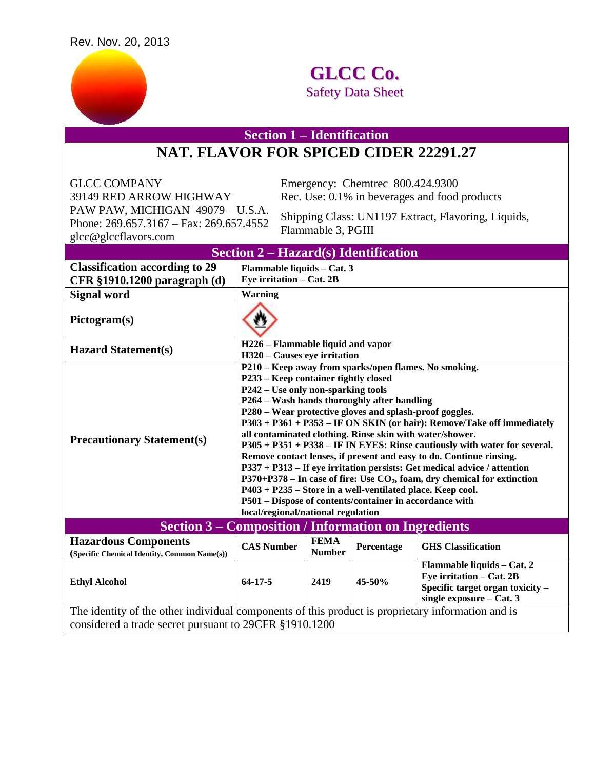

## **GLCC Co.** Safety Data Sheet

**Section 1 – Identification**

## **NAT. FLAVOR FOR SPICED CIDER 22291.27**

GLCC COMPANY Emergency: Chemtrec 800.424.9300 PAW PAW, MICHIGAN 49079 – U.S.A. Phone: 269.657.3167 – Fax: 269.657.4552 glcc@glccflavors.com

39149 RED ARROW HIGHWAY Rec. Use: 0.1% in beverages and food products

Shipping Class: UN1197 Extract, Flavoring, Liquids, Flammable 3, PGIII

| Section $2 - \text{Hazard}(s)$ Identification                                                                                                               |                                                                                                                                                                                                                                                                                                                                                                                                                                                                                                                                                                                                                                                                                                                                                                                                                                                                    |                              |            |                                                                                                                        |  |  |  |
|-------------------------------------------------------------------------------------------------------------------------------------------------------------|--------------------------------------------------------------------------------------------------------------------------------------------------------------------------------------------------------------------------------------------------------------------------------------------------------------------------------------------------------------------------------------------------------------------------------------------------------------------------------------------------------------------------------------------------------------------------------------------------------------------------------------------------------------------------------------------------------------------------------------------------------------------------------------------------------------------------------------------------------------------|------------------------------|------------|------------------------------------------------------------------------------------------------------------------------|--|--|--|
| <b>Classification according to 29</b>                                                                                                                       | Flammable liquids - Cat. 3                                                                                                                                                                                                                                                                                                                                                                                                                                                                                                                                                                                                                                                                                                                                                                                                                                         |                              |            |                                                                                                                        |  |  |  |
| CFR §1910.1200 paragraph (d)                                                                                                                                | Eye irritation - Cat. 2B                                                                                                                                                                                                                                                                                                                                                                                                                                                                                                                                                                                                                                                                                                                                                                                                                                           |                              |            |                                                                                                                        |  |  |  |
| <b>Signal word</b>                                                                                                                                          | <b>Warning</b>                                                                                                                                                                                                                                                                                                                                                                                                                                                                                                                                                                                                                                                                                                                                                                                                                                                     |                              |            |                                                                                                                        |  |  |  |
| Pictogram(s)                                                                                                                                                |                                                                                                                                                                                                                                                                                                                                                                                                                                                                                                                                                                                                                                                                                                                                                                                                                                                                    |                              |            |                                                                                                                        |  |  |  |
| <b>Hazard Statement(s)</b>                                                                                                                                  | H226 - Flammable liquid and vapor                                                                                                                                                                                                                                                                                                                                                                                                                                                                                                                                                                                                                                                                                                                                                                                                                                  |                              |            |                                                                                                                        |  |  |  |
|                                                                                                                                                             | H320 - Causes eye irritation                                                                                                                                                                                                                                                                                                                                                                                                                                                                                                                                                                                                                                                                                                                                                                                                                                       |                              |            |                                                                                                                        |  |  |  |
| <b>Precautionary Statement(s)</b>                                                                                                                           | P210 - Keep away from sparks/open flames. No smoking.<br>P233 – Keep container tightly closed<br>P242 – Use only non-sparking tools<br>P264 - Wash hands thoroughly after handling<br>P280 – Wear protective gloves and splash-proof goggles.<br>P303 + P361 + P353 - IF ON SKIN (or hair): Remove/Take off immediately<br>all contaminated clothing. Rinse skin with water/shower.<br>P305 + P351 + P338 - IF IN EYES: Rinse cautiously with water for several.<br>Remove contact lenses, if present and easy to do. Continue rinsing.<br>P337 + P313 – If eye irritation persists: Get medical advice / attention<br>$P370+P378$ – In case of fire: Use $CO2$ , foam, dry chemical for extinction<br>P403 + P235 – Store in a well-ventilated place. Keep cool.<br>P501 - Dispose of contents/container in accordance with<br>local/regional/national regulation |                              |            |                                                                                                                        |  |  |  |
| <b>Section 3 – Composition / Information on Ingredients</b>                                                                                                 |                                                                                                                                                                                                                                                                                                                                                                                                                                                                                                                                                                                                                                                                                                                                                                                                                                                                    |                              |            |                                                                                                                        |  |  |  |
| <b>Hazardous Components</b><br>(Specific Chemical Identity, Common Name(s))                                                                                 | <b>CAS Number</b>                                                                                                                                                                                                                                                                                                                                                                                                                                                                                                                                                                                                                                                                                                                                                                                                                                                  | <b>FEMA</b><br><b>Number</b> | Percentage | <b>GHS</b> Classification                                                                                              |  |  |  |
| <b>Ethyl Alcohol</b>                                                                                                                                        | $64 - 17 - 5$                                                                                                                                                                                                                                                                                                                                                                                                                                                                                                                                                                                                                                                                                                                                                                                                                                                      | 2419                         | $45 - 50%$ | Flammable liquids - Cat. 2<br>Eye irritation - Cat. 2B<br>Specific target organ toxicity -<br>single exposure - Cat. 3 |  |  |  |
| The identity of the other individual components of this product is proprietary information and is<br>considered a trade secret pursuant to 29CFR §1910.1200 |                                                                                                                                                                                                                                                                                                                                                                                                                                                                                                                                                                                                                                                                                                                                                                                                                                                                    |                              |            |                                                                                                                        |  |  |  |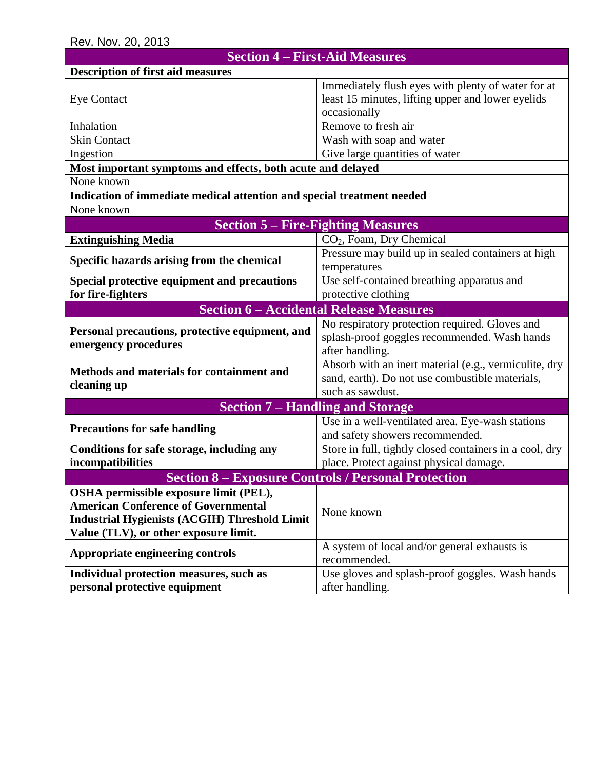| <b>Section 4 – First-Aid Measures</b>                                  |                                                         |  |  |  |  |  |
|------------------------------------------------------------------------|---------------------------------------------------------|--|--|--|--|--|
| <b>Description of first aid measures</b>                               |                                                         |  |  |  |  |  |
|                                                                        | Immediately flush eyes with plenty of water for at      |  |  |  |  |  |
| <b>Eye Contact</b>                                                     | least 15 minutes, lifting upper and lower eyelids       |  |  |  |  |  |
|                                                                        | occasionally                                            |  |  |  |  |  |
| Inhalation                                                             | Remove to fresh air                                     |  |  |  |  |  |
| <b>Skin Contact</b>                                                    | Wash with soap and water                                |  |  |  |  |  |
| Ingestion                                                              | Give large quantities of water                          |  |  |  |  |  |
| Most important symptoms and effects, both acute and delayed            |                                                         |  |  |  |  |  |
| None known                                                             |                                                         |  |  |  |  |  |
| Indication of immediate medical attention and special treatment needed |                                                         |  |  |  |  |  |
| None known                                                             |                                                         |  |  |  |  |  |
| <b>Section 5 – Fire-Fighting Measures</b>                              |                                                         |  |  |  |  |  |
| <b>Extinguishing Media</b>                                             | CO <sub>2</sub> , Foam, Dry Chemical                    |  |  |  |  |  |
|                                                                        | Pressure may build up in sealed containers at high      |  |  |  |  |  |
| Specific hazards arising from the chemical                             | temperatures                                            |  |  |  |  |  |
| Special protective equipment and precautions                           | Use self-contained breathing apparatus and              |  |  |  |  |  |
| for fire-fighters                                                      | protective clothing                                     |  |  |  |  |  |
| <b>Section 6 - Accidental Release Measures</b>                         |                                                         |  |  |  |  |  |
| Personal precautions, protective equipment, and                        | No respiratory protection required. Gloves and          |  |  |  |  |  |
| emergency procedures                                                   | splash-proof goggles recommended. Wash hands            |  |  |  |  |  |
|                                                                        | after handling.                                         |  |  |  |  |  |
| Methods and materials for containment and                              | Absorb with an inert material (e.g., vermiculite, dry   |  |  |  |  |  |
| cleaning up                                                            | sand, earth). Do not use combustible materials,         |  |  |  |  |  |
|                                                                        | such as sawdust.                                        |  |  |  |  |  |
| <b>Section 7 - Handling and Storage</b>                                |                                                         |  |  |  |  |  |
| <b>Precautions for safe handling</b>                                   | Use in a well-ventilated area. Eye-wash stations        |  |  |  |  |  |
|                                                                        | and safety showers recommended.                         |  |  |  |  |  |
| Conditions for safe storage, including any                             | Store in full, tightly closed containers in a cool, dry |  |  |  |  |  |
| incompatibilities                                                      | place. Protect against physical damage.                 |  |  |  |  |  |
| <b>Section 8 – Exposure Controls / Personal Protection</b>             |                                                         |  |  |  |  |  |
| OSHA permissible exposure limit (PEL),                                 |                                                         |  |  |  |  |  |
| <b>American Conference of Governmental</b>                             | None known                                              |  |  |  |  |  |
| <b>Industrial Hygienists (ACGIH) Threshold Limit</b>                   |                                                         |  |  |  |  |  |
| Value (TLV), or other exposure limit.                                  |                                                         |  |  |  |  |  |
| Appropriate engineering controls                                       | A system of local and/or general exhausts is            |  |  |  |  |  |
|                                                                        | recommended.                                            |  |  |  |  |  |
| Individual protection measures, such as                                | Use gloves and splash-proof goggles. Wash hands         |  |  |  |  |  |
| personal protective equipment                                          | after handling.                                         |  |  |  |  |  |